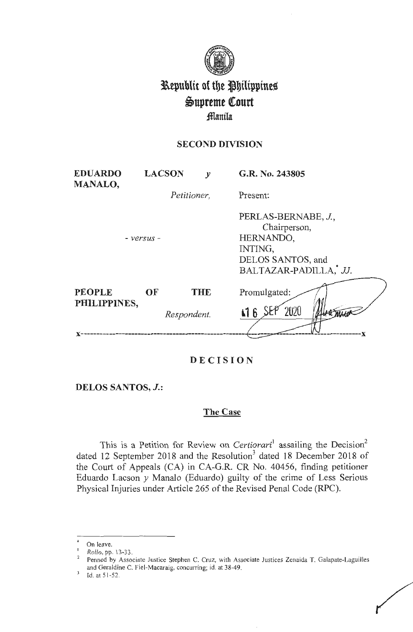

# Republic of the Philippines Supreme Court fflanila

# **SECOND DIVISION**

| <b>EDUARDO</b><br><b>MANALO,</b> |             | <b>LACSON</b> | $\mathcal{Y}$ | G.R. No. 243805                                                                                           |
|----------------------------------|-------------|---------------|---------------|-----------------------------------------------------------------------------------------------------------|
|                                  | Petitioner, |               |               | Present:                                                                                                  |
|                                  | - versus -  |               |               | PERLAS-BERNABE, J.,<br>Chairperson,<br>HERNANDO,<br>INTING.<br>DELOS SANTOS, and<br>BALTAZAR-PADILLA, JJ. |
| <b>PEOPLE</b><br>PHILIPPINES,    | <b>OF</b>   |               | <b>THE</b>    | Promulgated:<br>2020<br>$\pm 16$                                                                          |
|                                  |             | Respondent.   |               |                                                                                                           |

# **DECISION**

# **DELOS SANTOS, J.:**

# **The Case**

This is a Petition for Review on *Certiorari*<sup>1</sup> assailing the Decision<sup>2</sup> dated 12 September 2018 and the Resolution<sup>3</sup> dated 18 December 2018 of the Court of Appeals (CA) in CA-G.R. CR No. 40456, finding petitioner Eduardo Lacson *y* Manalo (Eduardo) guilty of the crime of Less Serious Physical Injuries under Article 265 of the Revised Penal Code (RPC).

/

On leave.

<sup>1</sup>*Rollo,* pp. 13-33.

<sup>&</sup>lt;sup>2</sup> Penned by Associate Justice Stephen C. Cruz, with Associate Justices Zenaida T. Galapate-Laguilles and Geraldine C. Fiel-Macaraig, concurring; id. at 38-49.

<sup>3</sup>Id. at 5 1-52.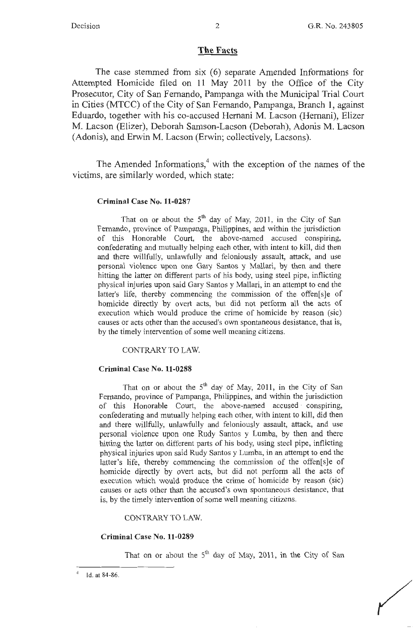### **The Facts**

The case stemmed from six (6) separate Amended Informations for Attempted Homicide filed on 11 May 2011 by the Office of the City Prosecutor, City of San Fernando, Pampanga with the Municipal Trial Court in Cities (MTCC) of the City of San Fernando, Pampanga, Branch 1, against Eduardo, together with his co-accused Hernani M. Lacson (Hernani), Elizer M. Lacson (Elizer), Deborah Samson-Lacson (Deborah), Adonis M. Lacson (Adonis), and Erwin M. Lacson (Erwin; collectively, Lacsons).

The Amended Informations, $4$  with the exception of the names of the victims, are similarly worded, which state:

#### **Criminal Case No. 11-0287**

That on or about the  $5<sup>th</sup>$  day of May, 2011, in the City of San Fernando, province of Pampanga, Philippines, and within the jurisdiction of this Honorable Court, the above-named accused conspiring, confederating and mutually helping each other, with intent to kill, did then and there willfully, unlawfully and feloniously assault, attack, and use personal violence upon one Gary Santos y Mallari, by then and there hitting the latter on different parts of his body, using steel pipe, inflicting physical injuries upon said Gary Santos y Mallari, in an attempt to end the latter's life, thereby commencing the commission of the offen[s]e of homicide directly by overt acts, but did not perform all the acts of execution which would produce the crime of homicide by reason (sic) causes or acts other than the accused's own spontaneous desistance, that is, by the timely intervention of some well meaning citizens.

CONTRARY TO LAW.

#### **Criminal Case No. 11-0288**

That on or about the  $5<sup>th</sup>$  day of May, 2011, in the City of San Fernando, province of Pampanga, Philippines, and within the jurisdiction of this Honorable Court, the above-named accused conspiring, confederating and mutually helping each other, with intent to kill, did then and there willfully, unlawfully and feloniously assault, attack, and use personal violence upon one Rudy Santos y Lumba, by then and there hitting the latter on different parts of his body, using steel pipe, inflicting physical injuries upon said Rudy Santos y Lumba, in an attempt to end the latter's life, thereby commencing the commission of the offen[s]e of homicide directly by overt acts, but did not perform all the acts of execution which would produce the crime of homicide by reason (sic) causes or acts other than the accused's own spontaneous desistance, that is, by the timely intervention of some well meaning citizens.

CONTRARY TO LAW.

### **Criminal Case No. 11-0289**

That on or about the  $5<sup>th</sup>$  day of May, 2011, in the City of San

<sup>4</sup>Id. at 84-86.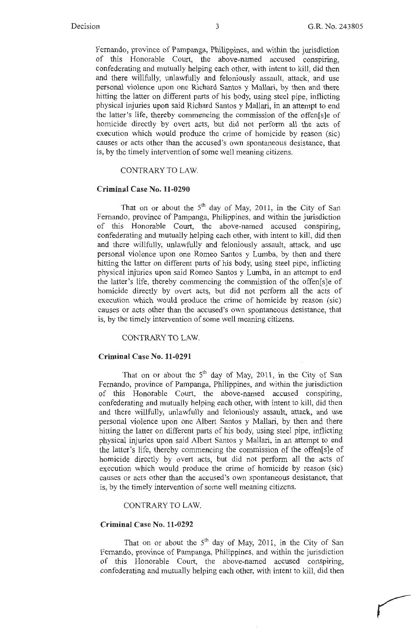r

Fernando, province of Pampanga, Philippines, and within the jurisdiction of this Honorable Court, the above-named accused conspiring, confederating and mutually helping each other, with intent to kill, did then and there willfully, unlawfully and feloniously assault, attack, and use personal violence upon one Richard Santos y Mallari, by then and there hitting the latter on different parts of his body, using steel pipe, inflicting physical injuries upon said Richard Santos y Mallari, in an attempt to end the latter's life, thereby commencing the commission of the offen[s]e of homicide directly by overt acts, but did not perform all the acts of execution which would produce the crime of homicide by reason (sic) causes or acts other than the accused's own spontaneous desistance, that is, by the timely intervention of some well meaning citizens.

#### CONTRARY TO LAW.

#### **Criminal Case No. 11-0290**

That on or about the  $5<sup>th</sup>$  day of May, 2011, in the City of San Fernando, province of Pampanga, Philippines, and within the jurisdiction of this Honorable Court, the above-named accused conspiring, confederating and mutually helping each other, with intent to kill, did then and there willfully, unlawfully and feloniously assault, attack, and use personal violence upon one Romeo Santos y Lumba, by then and there hitting the latter on different parts of his body, using steel pipe, inflicting physical injuries upon said Romeo Santos y Lwnba, in an attempt to end the latter's life, thereby commencing the commission of the offen[s]e of homicide directly by overt acts, but did not perform all the acts of execution which would produce the crime of homicide by reason (sic) causes or acts other than the accused's own spontaneous desistance, that is, by the timely intervention of some well meaning citizens.

#### CONTRARY TO LAW.

#### **Criminal Case No. 11-0291**

That on or about the  $5<sup>th</sup>$  day of May, 2011, in the City of San Fernando, province of Pampanga, Philippines, and within the jurisdiction of this Honorable Court, the above-named accused conspiring, confederating and mutually helping each other, with intent to kill, did then and there willfully, unlawfully and feloniously assault, attack, and use personal violence upon one Albert Santos y Mallari, by then and there hitting the latter on different parts of his body, using steel pipe, inflicting physical injuries upon said Albert Santos y Mallari, in an attempt to end the latter's life, thereby commencing the commission of the offen[s]e of homicide directly by overt acts, but did not perform all the acts of execution which would produce the crime of homicide by reason (sic) causes or acts other than the accused's own spontaneous desistance, that is, by the timely intervention of some well meaning citizens.

#### CONTRARY TO LAW.

#### **Criminal Case No. 11-0292**

That on or about the  $5<sup>th</sup>$  day of May, 2011, in the City of San Fernando, province of Pampanga, Philippines, and within the jurisdiction of this Honorable Court, the above-named accused conspiring, confederating and mutually helping each other, with intent to kill, did then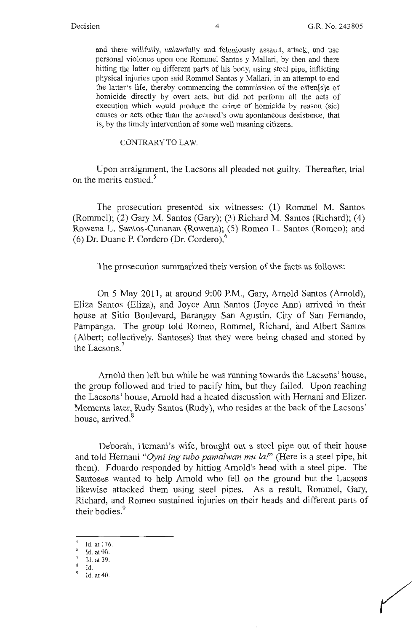and there willfully, unlawfully and feloniously assault, attack, and use personal violence upon one Rommel Santos y Mallari, by then and there hitting the latter on different parts of his body, using steel pipe, inflicting physical injuries upon said Rommel Santos y Mallari, in an attempt to end the latter's life, thereby commencing the commission of the offen[s]e of homicide directly by overt acts, but did not perform all the acts of execution which would produce the crime of homicide by reason (sic) causes or acts other than the accused's own spontaneous desistance, that is, by the timely intervention of some well meaning citizens.

CONTRARY TO LAW.

Upon arraignment, the Lacsons all pleaded not guilty. Thereafter, trial on the merits ensued.<sup>5</sup>

The prosecution presented six witnesses: (1) Rommel M. Santos (Rommel); (2) Gary M. Santos (Gary); (3) Richard M. Santos (Richard); ( 4) Rowena L. Santos-Cunanan (Rowena); (5) Romeo L. Santos (Romeo); and (6) Dr. Duane P. Cordero (Dr. Cordero).<sup>6</sup>

The prosecution summarized their version of the facts as follows:

On 5 May 2011, at around 9:00 P.M., Gary, Arnold Santos (Arnold), Eliza Santos (Eliza), and Joyce Ann Santos (Joyce Ann) arrived in their house at Sitio Boulevard, Barangay San Agustin, City of San Fernando, Pampanga. The group told Romeo, Rommel, Richard, and Albert Santos (Albert; collectively, Santoses) that they were being chased and stoned by the Lacsons. 7

Arnold then left but while he was running towards the Lacsons' house, the group followed and tried to pacify him, but they failed. Upon reaching the Lacsons' house, Arnold had a heated discussion with Hemani and Elizer. Moments later, Rudy Santos (Rudy), who resides at the back of the Lacsons' house, arrived.<sup>8</sup>

Deborah, Hernani's wife, brought out a steel pipe out of their house and told Hemani *"Oyni ing tubo pamalwan mu la!"* (Here is a steel pipe, hit them). Eduardo responded by hitting Arnold's head with a steel pipe. The Santoses wanted to help Arnold who fell on the ground but the Lacsons likewise attacked them using steel pipes. As a result, Rommel, Gary, Richard, and Romeo sustained injuries on their heads and different parts of their bodies.<sup>9</sup>

Id. at 176.<br>Id. at 90.

 $<sup>7</sup>$  Id. at 39.</sup>

 $\frac{8}{9}$  Id. at 40.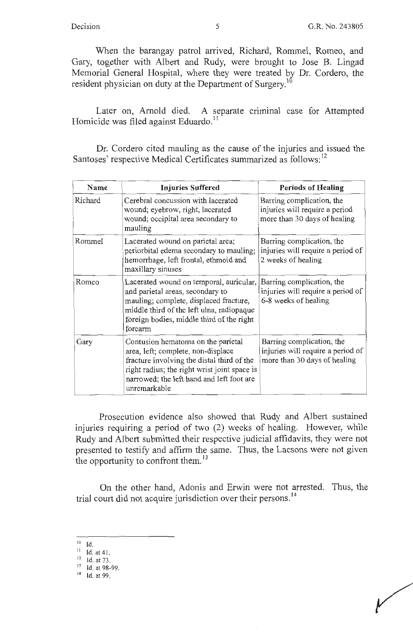When the barangay patrol arrived, Richard, Rommel, Romeo, and Gary, together with Albert and Rudy, were brought to Jose B. Lingad Memorial General Hospital, where they were treated by Dr. Cordero, the resident physician on duty at the Department of Surgery.<sup>10</sup>

Later on, Arnold died. A separate criminal case for Attempted Homicide was filed against Eduardo.<sup>11</sup>

Dr. Cordero cited mauling as the cause of the injuries and issued the Santoses' respective Medical Certificates summarized as follows:<sup>12</sup>

| Name    | <b>Injuries Suffered</b>                                                                                                                                                                                                            | <b>Periods of Healing</b>                                                                      |
|---------|-------------------------------------------------------------------------------------------------------------------------------------------------------------------------------------------------------------------------------------|------------------------------------------------------------------------------------------------|
| Richard | Cerebral concussion with lacerated<br>wound; eyebrow, right, lacerated<br>wound; occipital area secondary to<br>mauling                                                                                                             | Barring complication, the<br>injuries will require a period<br>more than 30 days of healing    |
| Rommel  | Lacerated wound on parietal area,<br>periorbital edema secondary to mauling;<br>hemorrhage, left frontal, ethmoid and<br>maxillary sinuses                                                                                          | Barring complication, the<br>injuries will require a period of<br>2 weeks of healing           |
| Romeo   | Lacerated wound on temporal, auricular,<br>and parietal areas, secondary to<br>mauling; complete, displaced fracture,<br>middle third of the left ulna, radiopaque<br>foreign bodies, middle third of the right<br>forearm          | Barring complication, the<br>injuries will require a period of<br>6-8 weeks of healing         |
| Gary    | Contusion hematoma on the parietal<br>area, left; complete, non-displace<br>fracture involving the distal third of the<br>right radius; the right wrist joint space is<br>narrowed; the left hand and left foot are<br>unremarkable | Barring complication, the<br>injuries will require a period of<br>more than 30 days of healing |

Prosecution evidence also showed that Rudy and Albert sustained injuries requiring a period of two (2) weeks of healing. However, while Rudy and Albert submitted their respective judicial affidavits, they were not presented to testify and affirm the same. Thus, the Lacsons were not given the opportunity to confront them.<sup>13</sup>

On the other hand, Adonis and Erwin were not arrested. Thus, the trial court did not acquire jurisdiction over their persons. 14

<sup>&</sup>lt;sup>10</sup> Id.<br><sup>11</sup> Id. at 41.

 $12 \text{ Id. at } 73.$ <br>13 Id. at 98-99.

 $14$  Id. at 99.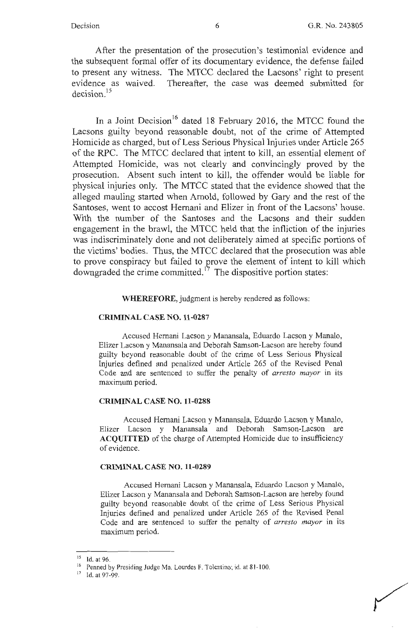After the presentation of the prosecution's testimonial evidence and the subsequent formal offer of its documentary evidence, the defense failed to present any witness. The MTCC declared the Lacsons' right to present evidence as waived. Thereafter, the case was deemed submitted for decision. <sup>15</sup>

In a Joint Decision<sup>16</sup> dated 18 February 2016, the MTCC found the Lacsons guilty beyond reasonable doubt, not of the crime of Attempted Homicide as charged, but of Less Serious Physical Injuries under Article 265 of the RPC. The MTCC declared that intent to kill, an essential element of Attempted Homicide, was not clearly and convincingly proved by the prosecution. Absent such intent to kill, the offender would be liable for physical injuries only. The MTCC stated that the evidence showed that the alleged mauling started when Arnold, followed by Gary and the rest of the Santoses, went to accost Hemani and Elizer in front of the Lacsons' house. With the number of the Santoses and the Lacsons and their sudden engagement in the brawl, the MTCC held that the infliction of the injuries was indiscriminately done and not deliberately aimed at specific portions of the victims' bodies. Thus, the MTCC declared that the prosecution was able to prove conspiracy but failed to prove the element of intent to kill which downgraded the crime committed.<sup> $17$ </sup> The dispositive portion states:

**WHEREFORE,** judgment is hereby rendered as follows:

### **CRIMINAL CASE NO.11-0287**

Accused Hemani Lacson *y* Manansala, Eduardo Lacson y Manalo, Elizer Lacson y Manansala and Deborah Samson-Lacson are hereby found guilty beyond reasonable doubt of the crime of Less Serious Physical Injuries defined and penalized under Article 265 of the Revised Penal Code and are sentenced to suffer the penalty of *arresto mayor* in its maximum period.

### **CRIMINAL CASE NO.11-0288**

Accused Hemani Lacson y Manansala, Eduardo Lacson y Manalo, Elizer Lacson y Manansala and Deborah Samson-Lacson are **ACQUITTED** of the charge of Attempted Homicide due to insufficiency of evidence.

#### **CRIMINAL CASE NO. 11-0289**

Accused Hemani Lacson y Manansala, Eduardo Lacson y Manalo, Elizer Lacson y Manansala and Deborah Samson-Lacson are hereby found guilty beyond reasonable doubt of the crime of Less Serious Physical Injuries defined and penalized under Article 265 of the Revised Penal Code and are sentenced to suffer the penalty of *arresto mayor* in its maximum period.

<sup>&</sup>lt;sup>15</sup> Id. at 96.

<sup>&</sup>lt;sup>16</sup> Penned by Presiding Judge Ma. Lourdes F. Tolentino; id. at 81-100.<br><sup>17</sup> Id. at 97-99.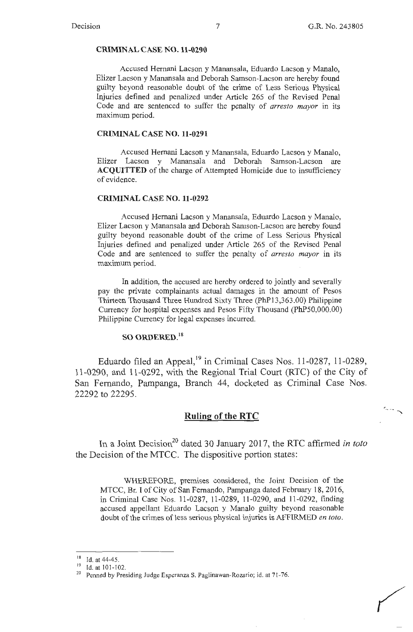r-\_ - -

**'** 

#### **CRIMINAL CASE NO. 11-0290**

Accused Hemani Lacson y Manansala, Eduardo Lacson y Manalo, Elizer Lacson y Manansala and Deborah Samson-Lacson are hereby found guilty beyond reasonable doubt of the crime of Less Serious Physical Injuries defined and penalized under Article 265 of the Revised Penal Code and are sentenced to suffer the penalty of *arresto mayor* in its maximum period.

#### **CRIMINAL CASE NO.11-0291**

Accused Hemani Lacson y Manansala, Eduardo Lacson y Manalo, Elizer Lacson y Manansala and Deborah Samson-Lacson are **ACQUITTED** of the charge of Attempted Homicide due to insufficiency of evidence.

#### **CRIMINAL CASE NO.11-0292**

Accused Hemani Lacson y Manansala, Eduardo Lacson y Manalo, Elizer Lacson y Manansala and Deborah Samson-Lacson are hereby found guilty beyond reasonable doubt of the crime of Less Serious Physical Injuries defined and penalized under Article 265 of the Revised Penal Code and are sentenced to suffer the penalty of *arresto mayor* in its maximum period.

In addition, the accused are hereby ordered to jointly and severally pay the private complainants actual damages in the amount of Pesos Thirteen Thousand Three Hundred Sixty Three (PhP1 3,363.00) Philippine Currency for hospital expenses and Pesos Fifty Thousand (PhP50,000.00) Philippine Currency for legal expenses incurred.

### **so ORDERED. <sup>18</sup>**

Eduardo filed an Appeal,<sup>19</sup> in Criminal Cases Nos. 11-0287, 11-0289, 11-0290, and 11-0292, with the Regional Trial Court (RTC) of the City of San Fernando, Pampanga, Branch 44, docketed as Criminal Case Nos. 22292 to 22295.

### **Ruling of the RTC**

In a Joint Decision<sup>20</sup> dated 30 January 2017, the RTC affirmed *in toto* the Decision of the MTCC. The dispositive portion states:

WHEREFORE, premises considered, the Joint Decision of the MTCC, Br. I of City of San Fernando, Pampanga dated February 18, 2016, in Criminal Case Nos. 11-0287, 11-0289, 11-0290, and 11-0292, finding accused appellant Eduardo Lacson y Manalo guilty beyond reasonable doubt of the crimes of less serious physical injuries is AFFIRMED *en toto.* 

<sup>&</sup>lt;sup>18</sup> Id. at  $44-45$ .<br><sup>19</sup> Id. at 101-102.

<sup>&</sup>lt;sup>20</sup> Penned by Presiding Judge Esperanza S. Paglinawan-Rozario; id. at 71-76.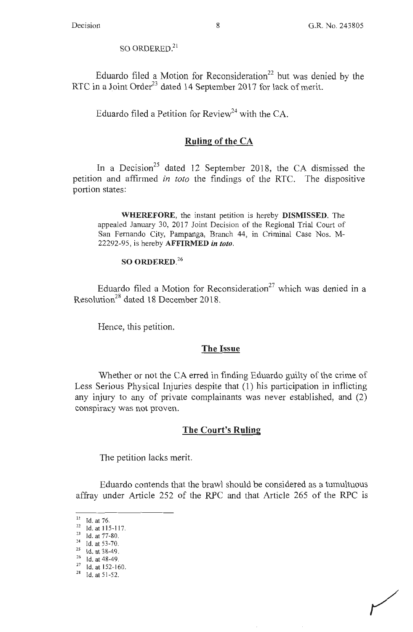$\,$ SO ORDERED. $^{21}$ 

Eduardo filed a Motion for Reconsideration<sup>22</sup> but was denied by the RTC in a Joint Order<sup>23</sup> dated 14 September 2017 for lack of merit.

Eduardo filed a Petition for Review<sup>24</sup> with the CA.

# **Ruling of the CA**

In a Decision<sup>25</sup> dated 12 September 2018, the CA dismissed the petition and affirmed *in toto* the findings of the **RTC.** The dispositive portion states:

**WHEREFORE,** the instant petition is hereby **DISMISSED.** The appealed January 30, 2017 Joint Decision of the Regional Trial Court of San Fernando City, Pampanga, Branch 44, in Criminal Case Nos. M-22292-95, is hereby **AFFIRMED** *in toto.* 

# **SO ORDERED. 26**

Eduardo filed a Motion for Reconsideration<sup>27</sup> which was denied in a Resolution28 dated 18 December 2018.

Hence, this petition.

# **The Issue**

Whether or not the CA erred in finding Eduardo guilty of the crime of Less Serious Physical Injuries despite that (1) his participation in inflicting any injury to any of private complainants was never established, and (2) conspiracy was not proven.

# **The Court's Ruling**

The petition lacks merit.

Eduardo contends that the brawl should be considered as a tumultuous affray under Article 252 of the RPC and that Article 265 of the RPC 1s

<sup>21</sup> Id. at 16.<br>
<sup>22</sup> Id. at 115-117.<br>
<sup>23</sup> Id. at 77-80.<br>
<sup>24</sup> Id. at 53-70.<br>
<sup>25</sup> Id. at 38-49.<br>
<sup>26</sup> Id. at 48-49.<br>
<sup>27</sup> Id. at 152-160.<br>
<sup>28</sup> Id. at 51-52.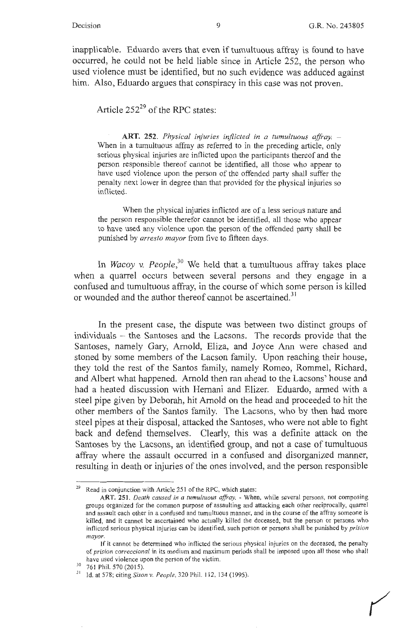inapplicable. Eduardo avers that even if tumultuous affray is found to have occurred, he could not be held liable since in Article 252, the person who used violence must be identified, but no such evidence was adduced against him. Also, Eduardo argues that conspiracy in this case was not proven.

Article  $252^{29}$  of the RPC states:

**ART. 252.** *Physical injuries inflicted in a tumultuous affray.* - When in a tumultuous affray as referred to in the preceding article, only serious physical injuries are inflicted upon the participants thereof and the person responsible thereof cannot be identified, all those who appear to have used violence upon the person of the offended party shall suffer the penalty next lower in degree than that provided for the physical injuries so inflicted.

When the physical injuries inflicted are of a less serious nature and the person responsible therefor cannot be identified, all those who appear to have used any violence upon the person of the offended party shall be punished by *arresto mayor* from five to fifteen days.

In *Wacoy v. People*,<sup>30</sup> We held that a tumultuous affray takes place when a quarrel occurs between several persons and they engage in a confused and tumultuous affray, in the course of which some person is killed or wounded and the author thereof cannot be ascertained.<sup>31</sup>

In the present case, the dispute was between two distinct groups of individuals - the Santoses and the Lacsons. The records provide that the Santoses, namely Gary, Arnold, Eliza, and Joyce Ann were chased and stoned by some members of the Lacson family. Upon reaching their house, they told the rest of the Santos family, namely Romeo, Rommel, Richard, and Albert what happened. Arnold then ran ahead to the Lacsons' house and had a heated discussion with Hemani and Elizer. Eduardo, armed with a steel pipe given by Deborah, hit Arnold on the head and proceeded to hit the other members of the Santos family. The Lacsons, who by then had more steel pipes at their disposal, attacked the Santoses, who were not able to fight back and defend themselves. Clearly, this was a definite attack on the Santoses by the Lacsons, an identified group, and not a case of tumultuous affray where the assault occurred in a confused and disorganized manner, resulting in death or injuries of the ones involved, and the person responsible

Read in conjunction with Article 251 of the RPC, which states:

ART. 251. Death caused in a tumultuous affray. - When, while several persons, not composing groups organized for the common purpose of assaulting and attacking each other reciprocally, quarrel and assault each other in a confused and tumultuous manner, and in the course of the affray someone is killed, and it cannot be ascertained who actually killed the deceased, but the person or persons who inflicted serious physical injuries can be identified, such person or persons shall be punished by *prision mayor.* 

If it cannot be determined who inflicted the serious physical injuries on the deceased, the penalty of *prision correccional* in its medium and maximum periods shall be imposed upon all those who shall have used violence upon the person of the victim.<br><sup>30</sup> 761 Phil. 570 (2015).<br><sup>31</sup> Id. at 578; citing *Sison v. People*, 320 Phil. 112, 134 (1995).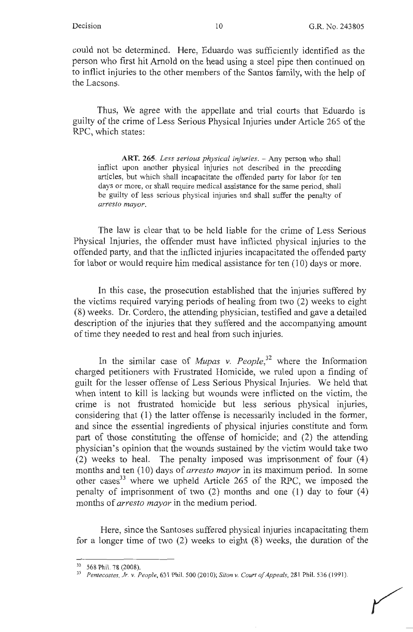could not be determined. Here, Eduardo was sufficiently identified as the person who first hit Arnold on the head using a steel pipe then continued on to inflict injuries to the other members of the Santos family, with the help of the Lacsons.

Thus, We agree with the appellate and trial courts that Eduardo is guilty of the crime of Less Serious Physical Injuries under Article 265 of the RPC, which states:

**ART. 265.** *Less serious physical injuries.* - Any person who shall inflict upon another physical injuries not described in the preceding articles, but which shall incapacitate the offended party for labor for ten days or more, or shall require medical assistance for the same period, shall be guilty of less serious physical injuries and shall suffer the penalty of *arresto mayor.* 

The law is clear that to be held liable for the crime of Less Serious Physical Injuries, the offender must have inflicted physical injuries to the offended party, and that the inflicted injuries incapacitated the offended party for labor or would require him medical assistance for ten (10) days or more.

In this case, the prosecution established that the injuries suffered by the victims required varying periods of healing from two (2) weeks to eight (8) weeks. Dr. Cordero, the attending physician, testified and gave a detailed description of the injuries that they suffered and the accompanying amount of time they needed to rest and heal from such injuries.

In the similar case of *Mupas v. People*<sup>32</sup> where the Information charged petitioners with Frustrated Homicide, we ruled upon a finding of guilt for the lesser offense of Less Serious Physical Injuries. We held that when intent to kill is lacking but wounds were inflicted on the victim, the crime is not frustrated homicide but less serious physical injuries, considering that (1) the latter offense is necessarily included in the former, and since the essential ingredients of physical injuries constitute and form part of those constituting the offense of homicide; and (2) the attending physician's opinion that the wounds sustained by the victim would take two (2) weeks to heal. The penalty imposed was imprisonment of four  $(4)$ months and ten (10) days of *arresto mayor* in its maximum period. In some other cases<sup>33</sup> where we upheld Article 265 of the RPC, we imposed the penalty of imprisonment of two (2) months and one (1) day to four (4) months of *arresto mayor* in the medium period.

Here, since the Santoses suffered physical injuries incapacitating them for a longer time of two (2) weeks to eight (8) weeks, the duration of the

<sup>32 568</sup> Phil. 78 (2008). 33 *Pentecosles, Jr. v. People,* 631 Phil. 500 (20 IO); *Siton v. Court of Appeals,* <sup>28</sup> 1 Phil. 536 ( 199 1 ).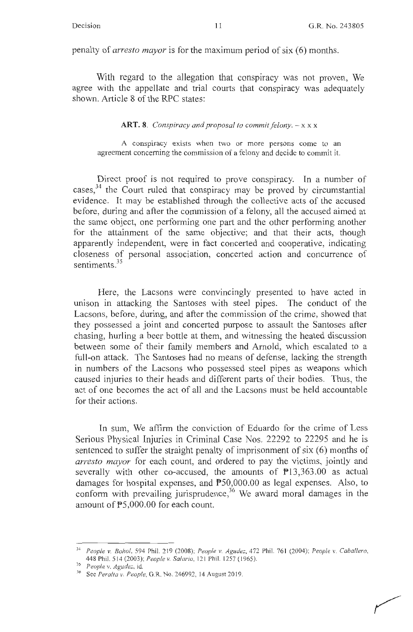penalty of *arresto mayor* is for the maximum period of six (6) months.

With regard to the allegation that conspiracy was not proven, We agree with the appellate and trial courts that conspiracy was adequately shown. Article 8 of the RPC states:

### **ART. 8.** *Conspiracy and proposal to commit felony.*  $-x \times x$

A conspiracy exists when two or more persons come to an agreement concerning the commission of a felony and decide to commit it.

Direct proof is not required to prove conspiracy. In a number of cases,<sup>34</sup> the Court ruled that conspiracy may be proved by circumstantial evidence. It may be established through the collective acts of the accused before, during and after the commission of a felony, all the accused aimed at the same object, one perfonning one part and the other perfonning another for the attainment of the same objective; and that their acts, though apparently independent, were in fact concerted and cooperative, indicating closeness of personal association, concerted action and concurrence of sentiments.<sup>35</sup>

Here, the Lacsons were convincingly presented to have acted in unison in attacking the Santoses with steel pipes. The conduct of the Lacsons, before, during, and after the commission of the crime, showed that they possessed a joint and concerted purpose to assault the Santoses after chasing, hurling a beer bottle at them, and witnessing the heated discussion between some of their family members and Arnold, which escalated to a full-on attack. The Santoses had no means of defense, lacking the strength in numbers of the Lacsons who possessed steel pipes as weapons which caused injuries to their heads and different parts of their bodies. Thus, the act of one becomes the act of all and the Lacsons must be held accountable for their actions.

In sum, We affirm the conviction of Eduardo for the crime of Less Serious Physical Injuries in Criminal Case Nos. 22292 to 22295 and he is sentenced to suffer the straight penalty of imprisonment of six (6) months of *arresto mayor* for each count, and ordered to pay the victims, jointly and severally with other co-accused, the amounts of  $P13,363.00$  as actual damages for hospital expenses, and P50,000.00 as legal expenses. Also, to conform with prevailing jurisprudence, 36 We award moral damages in the amount of PS,000.00 for each count.

<sup>34</sup>*People v. Bohol,* 594 Phil. 2 19 (2008); *People v. Agudez,* 4 72 Phil. 76 1 (2004); *People* v. *Caballero,*  448 Phil. 5 14 (2003); *People* v. *Sa/aria,* <sup>12</sup> 1 Phil. 1257 ( I 965). 35 *People* v. *Agude=,* id. 36 See *Peralta* v. *People,* G.R. No. 246992, 14 August 20 19.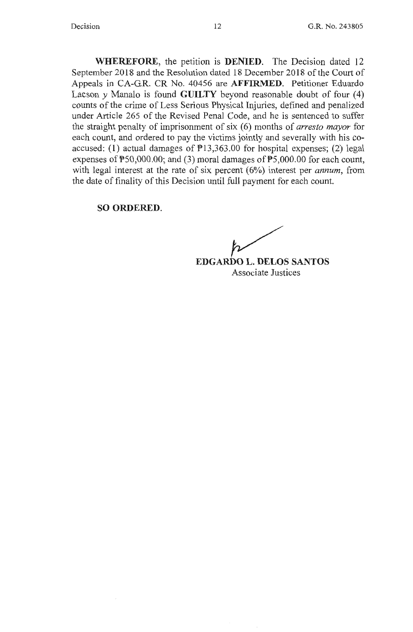**WHEREFORE,** the petition is **DENIED.** The Decision dated 12 September 2018 and the Resolution dated 18 December 2018 of the Court of Appeals in CA-G.R. CR No. 40456 are **AFFIRMED.** Petitioner Eduardo Lacson *y* Manalo is found **GUILTY** beyond reasonable doubt of four (4) counts of the crime of Less Serious Physical Injuries, defined and penalized under Article 265 of the Revised Penal Code, and he is sentenced to suffer the straight penalty of imprisonment of six ( 6) months of *arresto mayor* for each count, and ordered to pay the victims jointly and severally with his coaccused: (1) actual damages of  $P13,363.00$  for hospital expenses; (2) legal expenses of PS0,000.00; and (3) moral damages of PS,000.00 for each count, with legal interest at the rate of six percent (6%) interest per *annum*, from the date of finality of this Decision until full payment for each count.

### **SO ORDERED.**

**EDGARDO L. DELOS SANTOS** Associate Justices